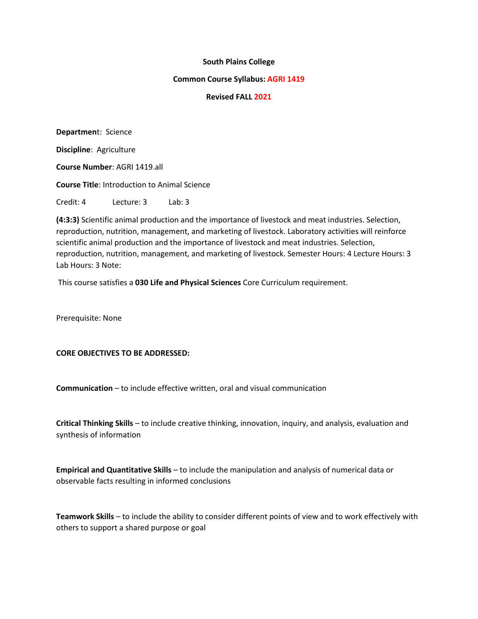## **South Plains College**

### **Common Course Syllabus: AGRI 1419**

### **Revised FALL 2021**

**Departmen**t: Science

**Discipline**: Agriculture

**Course Number**: AGRI 1419.all

**Course Title**: Introduction to Animal Science

Credit: 4 Lecture: 3 Lab: 3

**(4:3:3)** Scientific animal production and the importance of livestock and meat industries. Selection, reproduction, nutrition, management, and marketing of livestock. Laboratory activities will reinforce scientific animal production and the importance of livestock and meat industries. Selection, reproduction, nutrition, management, and marketing of livestock. Semester Hours: 4 Lecture Hours: 3 Lab Hours: 3 Note:

This course satisfies a **030 Life and Physical Sciences** Core Curriculum requirement.

Prerequisite: None

# **CORE OBJECTIVES TO BE ADDRESSED:**

**Communication** – to include effective written, oral and visual communication

**Critical Thinking Skills** – to include creative thinking, innovation, inquiry, and analysis, evaluation and synthesis of information

**Empirical and Quantitative Skills** – to include the manipulation and analysis of numerical data or observable facts resulting in informed conclusions

**Teamwork Skills** – to include the ability to consider different points of view and to work effectively with others to support a shared purpose or goal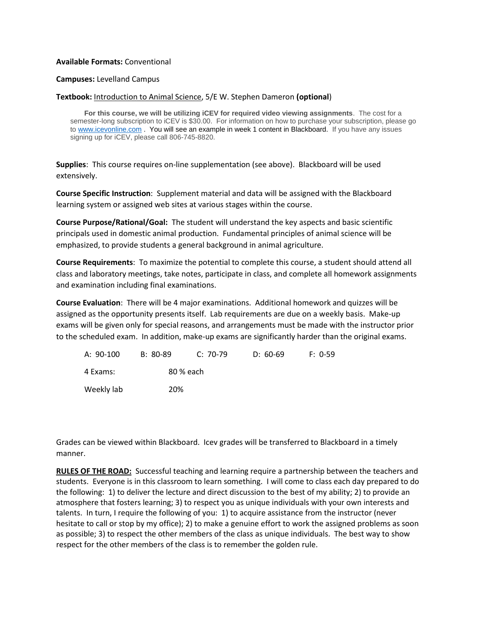### **Available Formats:** Conventional

#### **Campuses:** Levelland Campus

## **Textbook:** Introduction to Animal Science, 5/E W. Stephen Dameron **(optional**)

**For this course, we will be utilizing iCEV for required video viewing assignments**. The cost for a semester-long subscription to iCEV is \$30.00. For information on how to purchase your subscription, please go to [www.icevonline.com](http://www.icevonline.com/) . You will see an example in week 1 content in Blackboard. If you have any issues signing up for iCEV, please call 806-745-8820.

**Supplies**: This course requires on-line supplementation (see above). Blackboard will be used extensively.

**Course Specific Instruction**: Supplement material and data will be assigned with the Blackboard learning system or assigned web sites at various stages within the course.

**Course Purpose/Rational/Goal:** The student will understand the key aspects and basic scientific principals used in domestic animal production. Fundamental principles of animal science will be emphasized, to provide students a general background in animal agriculture.

**Course Requirements**: To maximize the potential to complete this course, a student should attend all class and laboratory meetings, take notes, participate in class, and complete all homework assignments and examination including final examinations.

**Course Evaluation**: There will be 4 major examinations. Additional homework and quizzes will be assigned as the opportunity presents itself. Lab requirements are due on a weekly basis. Make-up exams will be given only for special reasons, and arrangements must be made with the instructor prior to the scheduled exam. In addition, make-up exams are significantly harder than the original exams.

| A: 90-100  | $B: 80-89$ | $C: 70-79$ | $D: 60-69$ | $F: 0-59$ |
|------------|------------|------------|------------|-----------|
| 4 Exams:   | 80 % each  |            |            |           |
| Weekly lab | 20%        |            |            |           |

Grades can be viewed within Blackboard. Icev grades will be transferred to Blackboard in a timely manner.

**RULES OF THE ROAD:** Successful teaching and learning require a partnership between the teachers and students. Everyone is in this classroom to learn something. I will come to class each day prepared to do the following: 1) to deliver the lecture and direct discussion to the best of my ability; 2) to provide an atmosphere that fosters learning; 3) to respect you as unique individuals with your own interests and talents. In turn, I require the following of you: 1) to acquire assistance from the instructor (never hesitate to call or stop by my office); 2) to make a genuine effort to work the assigned problems as soon as possible; 3) to respect the other members of the class as unique individuals. The best way to show respect for the other members of the class is to remember the golden rule.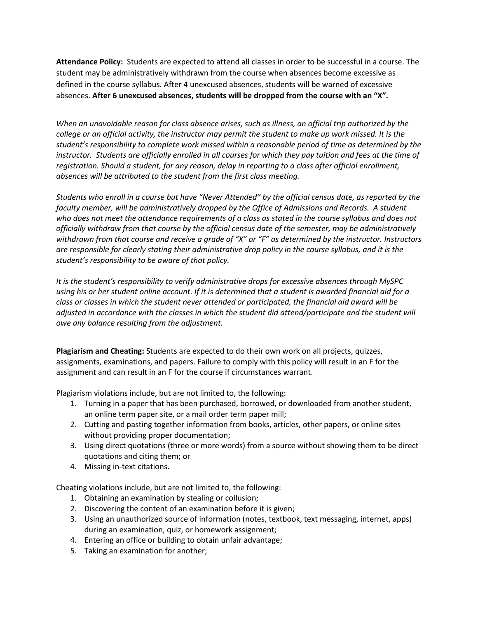**Attendance Policy:** Students are expected to attend all classes in order to be successful in a course. The student may be administratively withdrawn from the course when absences become excessive as defined in the course syllabus. After 4 unexcused absences, students will be warned of excessive absences. **After 6 unexcused absences, students will be dropped from the course with an "X".**

*When an unavoidable reason for class absence arises, such as illness, an official trip authorized by the college or an official activity, the instructor may permit the student to make up work missed. It is the student's responsibility to complete work missed within a reasonable period of time as determined by the*  instructor. Students are officially enrolled in all courses for which they pay tuition and fees at the time of *registration. Should a student, for any reason, delay in reporting to a class after official enrollment, absences will be attributed to the student from the first class meeting.*

*Students who enroll in a course but have "Never Attended" by the official census date, as reported by the faculty member, will be administratively dropped by the Office of Admissions and Records. A student who does not meet the attendance requirements of a class as stated in the course syllabus and does not officially withdraw from that course by the official census date of the semester, may be administratively withdrawn from that course and receive a grade of "X" or "F" as determined by the instructor. Instructors are responsible for clearly stating their administrative drop policy in the course syllabus, and it is the student's responsibility to be aware of that policy.* 

*It is the student's responsibility to verify administrative drops for excessive absences through MySPC using his or her student online account. If it is determined that a student is awarded financial aid for a class or classes in which the student never attended or participated, the financial aid award will be adjusted in accordance with the classes in which the student did attend/participate and the student will owe any balance resulting from the adjustment.*

**Plagiarism and Cheating:** Students are expected to do their own work on all projects, quizzes, assignments, examinations, and papers. Failure to comply with this policy will result in an F for the assignment and can result in an F for the course if circumstances warrant.

Plagiarism violations include, but are not limited to, the following:

- 1. Turning in a paper that has been purchased, borrowed, or downloaded from another student, an online term paper site, or a mail order term paper mill;
- 2. Cutting and pasting together information from books, articles, other papers, or online sites without providing proper documentation;
- 3. Using direct quotations (three or more words) from a source without showing them to be direct quotations and citing them; or
- 4. Missing in-text citations.

Cheating violations include, but are not limited to, the following:

- 1. Obtaining an examination by stealing or collusion;
- 2. Discovering the content of an examination before it is given;
- 3. Using an unauthorized source of information (notes, textbook, text messaging, internet, apps) during an examination, quiz, or homework assignment;
- 4. Entering an office or building to obtain unfair advantage;
- 5. Taking an examination for another;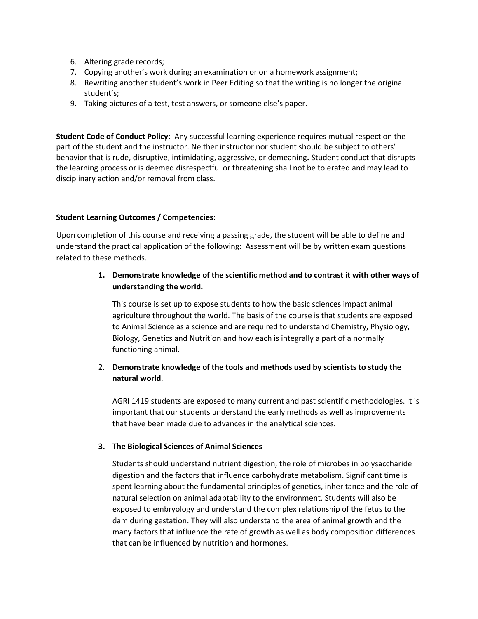- 6. Altering grade records;
- 7. Copying another's work during an examination or on a homework assignment;
- 8. Rewriting another student's work in Peer Editing so that the writing is no longer the original student's;
- 9. Taking pictures of a test, test answers, or someone else's paper.

**Student Code of Conduct Policy**: Any successful learning experience requires mutual respect on the part of the student and the instructor. Neither instructor nor student should be subject to others' behavior that is rude, disruptive, intimidating, aggressive, or demeaning**.** Student conduct that disrupts the learning process or is deemed disrespectful or threatening shall not be tolerated and may lead to disciplinary action and/or removal from class.

# **Student Learning Outcomes / Competencies:**

Upon completion of this course and receiving a passing grade, the student will be able to define and understand the practical application of the following: Assessment will be by written exam questions related to these methods.

# **1. Demonstrate knowledge of the scientific method and to contrast it with other ways of understanding the world.**

This course is set up to expose students to how the basic sciences impact animal agriculture throughout the world. The basis of the course is that students are exposed to Animal Science as a science and are required to understand Chemistry, Physiology, Biology, Genetics and Nutrition and how each is integrally a part of a normally functioning animal.

# 2. **Demonstrate knowledge of the tools and methods used by scientists to study the natural world**.

AGRI 1419 students are exposed to many current and past scientific methodologies. It is important that our students understand the early methods as well as improvements that have been made due to advances in the analytical sciences.

# **3. The Biological Sciences of Animal Sciences**

Students should understand nutrient digestion, the role of microbes in polysaccharide digestion and the factors that influence carbohydrate metabolism. Significant time is spent learning about the fundamental principles of genetics, inheritance and the role of natural selection on animal adaptability to the environment. Students will also be exposed to embryology and understand the complex relationship of the fetus to the dam during gestation. They will also understand the area of animal growth and the many factors that influence the rate of growth as well as body composition differences that can be influenced by nutrition and hormones.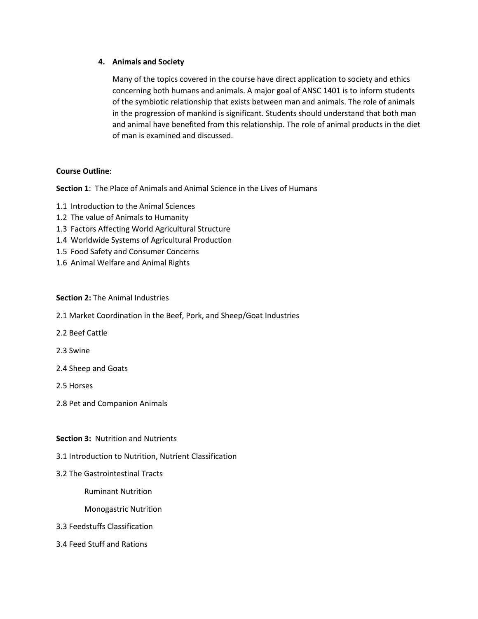# **4. Animals and Society**

Many of the topics covered in the course have direct application to society and ethics concerning both humans and animals. A major goal of ANSC 1401 is to inform students of the symbiotic relationship that exists between man and animals. The role of animals in the progression of mankind is significant. Students should understand that both man and animal have benefited from this relationship. The role of animal products in the diet of man is examined and discussed.

## **Course Outline**:

**Section 1**: The Place of Animals and Animal Science in the Lives of Humans

- 1.1 Introduction to the Animal Sciences
- 1.2 The value of Animals to Humanity
- 1.3 Factors Affecting World Agricultural Structure
- 1.4 Worldwide Systems of Agricultural Production
- 1.5 Food Safety and Consumer Concerns
- 1.6 Animal Welfare and Animal Rights

## **Section 2:** The Animal Industries

- 2.1 Market Coordination in the Beef, Pork, and Sheep/Goat Industries
- 2.2 Beef Cattle
- 2.3 Swine
- 2.4 Sheep and Goats
- 2.5 Horses
- 2.8 Pet and Companion Animals

#### **Section 3:** Nutrition and Nutrients

- 3.1 Introduction to Nutrition, Nutrient Classification
- 3.2 The Gastrointestinal Tracts
	- Ruminant Nutrition
	- Monogastric Nutrition
- 3.3 Feedstuffs Classification
- 3.4 Feed Stuff and Rations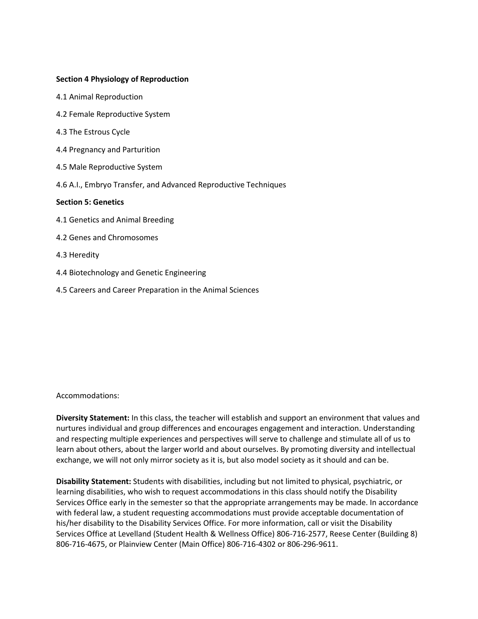## **Section 4 Physiology of Reproduction**

- 4.1 Animal Reproduction
- 4.2 Female Reproductive System
- 4.3 The Estrous Cycle
- 4.4 Pregnancy and Parturition
- 4.5 Male Reproductive System
- 4.6 A.I., Embryo Transfer, and Advanced Reproductive Techniques

## **Section 5: Genetics**

- 4.1 Genetics and Animal Breeding
- 4.2 Genes and Chromosomes
- 4.3 Heredity
- 4.4 Biotechnology and Genetic Engineering
- 4.5 Careers and Career Preparation in the Animal Sciences

#### Accommodations:

**Diversity Statement:** In this class, the teacher will establish and support an environment that values and nurtures individual and group differences and encourages engagement and interaction. Understanding and respecting multiple experiences and perspectives will serve to challenge and stimulate all of us to learn about others, about the larger world and about ourselves. By promoting diversity and intellectual exchange, we will not only mirror society as it is, but also model society as it should and can be.

**Disability Statement:** Students with disabilities, including but not limited to physical, psychiatric, or learning disabilities, who wish to request accommodations in this class should notify the Disability Services Office early in the semester so that the appropriate arrangements may be made. In accordance with federal law, a student requesting accommodations must provide acceptable documentation of his/her disability to the Disability Services Office. For more information, call or visit the Disability Services Office at Levelland (Student Health & Wellness Office) 806-716-2577, Reese Center (Building 8) 806-716-4675, or Plainview Center (Main Office) 806-716-4302 or 806-296-9611.